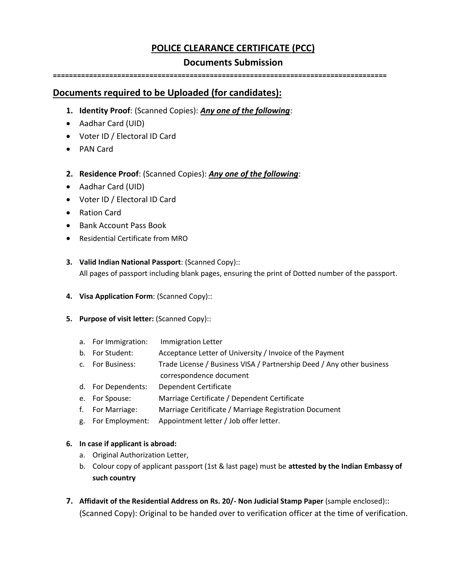# **POLICE CLEARANCE CERTIFICATE (PCC)**

### **Documents Submission**

**===================================================================================**

## **Documents required to be Uploaded (for candidates):**

- **1. Identity Proof**: (Scanned Copies): *Any one of the following*:
- Aadhar Card (UID)
- Voter ID / Electoral ID Card
- PAN Card
- **2. Residence Proof**: (Scanned Copies): *Any one of the following*:
- Aadhar Card (UID)
- Voter ID / Electoral ID Card
- Ration Card
- Bank Account Pass Book
- Residential Certificate from MRO
- **3. Valid Indian National Passport**: (Scanned Copy)::

All pages of passport including blank pages, ensuring the print of Dotted number of the passport.

- **4. Visa Application Form**: (Scanned Copy)::
- **5. Purpose of visit letter:** (Scanned Copy)::
	- a. For Immigration: Immigration Letter
	- b. For Student: Acceptance Letter of University / Invoice of the Payment
	- c. For Business: Trade License / Business VISA / Partnership Deed / Any other business
		- correspondence document
	- d. For Dependents: Dependent Certificate
	- e. For Spouse: Marriage Certificate / Dependent Certificate
	- f. For Marriage: Marriage Ceritificate / Marriage Registration Document
	- g. For Employment: Appointment letter / Job offer letter.

#### **6. In case if applicant is abroad:**

- a. Original Authorization Letter,
- b. Colour copy of applicant passport (1st & last page) must be **attested by the Indian Embassy of such country**
- **7. Affidavit of the Residential Address on Rs. 20/- Non Judicial Stamp Paper** (sample enclosed):: (Scanned Copy): Original to be handed over to verification officer at the time of verification.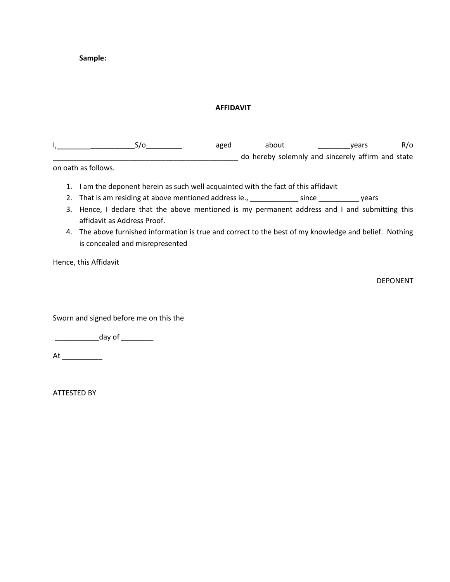**Sample:**

#### **AFFIDAVIT**

I, \_\_\_\_\_\_\_\_\_\_\_S/o\_\_\_\_\_\_\_\_\_ aged about \_\_\_\_\_\_\_\_years R/o \_\_\_\_\_\_\_\_\_\_\_\_\_\_\_\_\_\_\_\_\_\_\_\_\_\_\_\_\_\_\_\_\_\_\_\_\_\_\_\_\_\_\_\_\_\_ do hereby solemnly and sincerely affirm and state

on oath as follows.

- 1. I am the deponent herein as such well acquainted with the fact of this affidavit
- 2. That is am residing at above mentioned address ie., \_\_\_\_\_\_\_\_\_\_\_\_\_ since \_\_\_\_\_\_\_\_\_\_\_\_ years
- 3. Hence, I declare that the above mentioned is my permanent address and I and submitting this affidavit as Address Proof.
- 4. The above furnished information is true and correct to the best of my knowledge and belief. Nothing is concealed and misrepresented

Hence, this Affidavit

DEPONENT

Sworn and signed before me on this the

\_\_\_\_\_\_\_\_\_\_\_\_\_\_\_\_day of \_\_\_\_\_\_\_\_\_\_

 $At$   $\qquad \qquad$ 

ATTESTED BY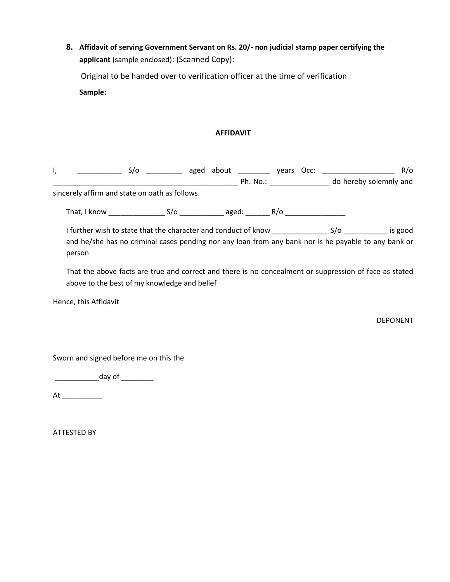**8. Affidavit of serving Government Servant on Rs. 20/- non judicial stamp paper certifying the applicant** (sample enclosed): (Scanned Copy):

 Original to be handed over to verification officer at the time of verification **Sample:**

#### **AFFIDAVIT**

|                                                | S/o __________ aged about _________ years Occ: _____________________                                                                                                                                                         |  |  |  | R/O             |  |
|------------------------------------------------|------------------------------------------------------------------------------------------------------------------------------------------------------------------------------------------------------------------------------|--|--|--|-----------------|--|
|                                                |                                                                                                                                                                                                                              |  |  |  |                 |  |
| sincerely affirm and state on oath as follows. |                                                                                                                                                                                                                              |  |  |  |                 |  |
|                                                |                                                                                                                                                                                                                              |  |  |  |                 |  |
|                                                | I further wish to state that the character and conduct of know ___________________________________ is good<br>and he/she has no criminal cases pending nor any loan from any bank nor is he payable to any bank or<br>person |  |  |  |                 |  |
|                                                | That the above facts are true and correct and there is no concealment or suppression of face as stated<br>above to the best of my knowledge and belief                                                                       |  |  |  |                 |  |
|                                                | Hence, this Affidavit                                                                                                                                                                                                        |  |  |  |                 |  |
|                                                |                                                                                                                                                                                                                              |  |  |  | <b>DEPONENT</b> |  |
|                                                | Sworn and signed before me on this the                                                                                                                                                                                       |  |  |  |                 |  |
|                                                | day of the state of the state of the state of the state of the state of the state of the state of the state of                                                                                                               |  |  |  |                 |  |
| At                                             |                                                                                                                                                                                                                              |  |  |  |                 |  |

ATTESTED BY